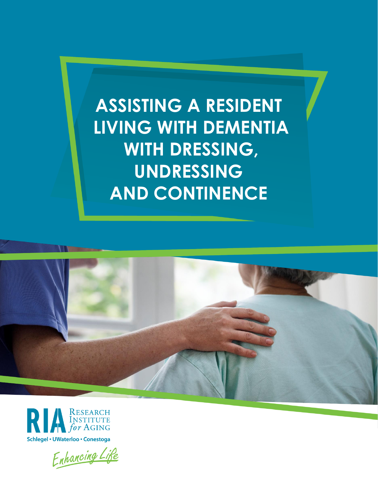# **ASSISTING A RESIDENT LIVING WITH DEMENTIA WITH DRESSING, UNDRESSING AND CONTINENCE**





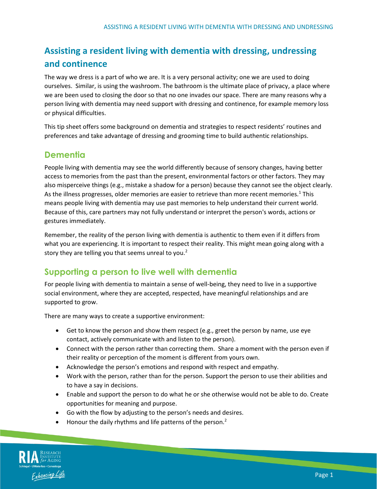## **Assisting a resident living with dementia with dressing, undressing and continence**

The way we dress is a part of who we are. It is a very personal activity; one we are used to doing ourselves. Similar, is using the washroom. The bathroom is the ultimate place of privacy, a place where we are been used to closing the door so that no one invades our space. There are many reasons why a person living with dementia may need support with dressing and continence, for example memory loss or physical difficulties.

This tip sheet offers some background on dementia and strategies to respect residents' routines and preferences and take advantage of dressing and grooming time to build authentic relationships.

### **Dementia**

People living with dementia may see the world differently because of sensory changes, having better access to memories from the past than the present, environmental factors or other factors. They may also misperceive things (e.g., mistake a shadow for a person) because they cannot see the object clearly. As the illness progresses, older memories are easier to retrieve than more recent memories.<sup>1</sup> This means people living with dementia may use past memories to help understand their current world. Because of this, care partners may not fully understand or interpret the person's words, actions or gestures immediately.

Remember, the reality of the person living with dementia is authentic to them even if it differs from what you are experiencing. It is important to respect their reality. This might mean going along with a story they are telling you that seems unreal to you.<sup>2</sup>

## **Supporting a person to live well with dementia**

For people living with dementia to maintain a sense of well-being, they need to live in a supportive social environment, where they are accepted, respected, have meaningful relationships and are supported to grow.

There are many ways to create a supportive environment:

- Get to know the person and show them respect (e.g., greet the person by name, use eye contact, actively communicate with and listen to the person).
- Connect with the person rather than correcting them. Share a moment with the person even if their reality or perception of the moment is different from yours own.
- Acknowledge the person's emotions and respond with respect and empathy.
- Work with the person, rather than for the person. Support the person to use their abilities and to have a say in decisions.
- Enable and support the person to do what he or she otherwise would not be able to do. Create opportunities for meaning and purpose.
- Go with the flow by adjusting to the person's needs and desires.
- Honour the daily rhythms and life patterns of the person.<sup>2</sup>

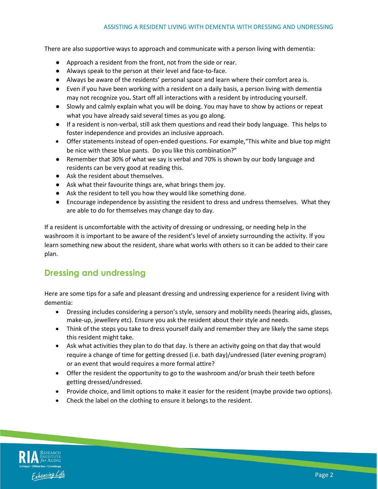#### ASSISTING A RESIDENT LIVING WITH DEMENTIA WITH DRESSING AND UNDRESSING

There are also supportive ways to approach and communicate with a person living with dementia:

- Approach a resident from the front, not from the side or rear.
- Always speak to the person at their level and face-to-face.
- Always be aware of the residents' personal space and learn where their comfort area is.
- Even if you have been working with a resident on a daily basis, a person living with dementia may not recognize you**.** Start off all interactions with a resident by introducing yourself.
- Slowly and calmly explain what you will be doing. You may have to show by actions or repeat what you have already said several times as you go along.
- If a resident is non-verbal, still ask them questions and read their body language. This helps to foster independence and provides an inclusive approach.
- Offer statements instead of open-ended questions. For example,"This white and blue top might be nice with these blue pants. Do you like this combination?"
- Remember that 30% of what we say is verbal and 70% is shown by our body language and residents can be very good at reading this.
- Ask the resident about themselves.
- Ask what their favourite things are, what brings them joy.
- Ask the resident to tell you how they would like something done.
- Encourage independence by assisting the resident to dress and undress themselves. What they are able to do for themselves may change day to day.

If a resident is uncomfortable with the activity of dressing or undressing, or needing help in the washroom it is important to be aware of the resident's level of anxiety surrounding the activity. If you learn something new about the resident, share what works with others so it can be added to their care plan.

## **Dressing and undressing**

Here are some tips for a safe and pleasant dressing and undressing experience for a resident living with dementia:

- Dressing includes considering a person's style, sensory and mobility needs (hearing aids, glasses, make-up, jewellery etc). Ensure you ask the resident about their style and needs.
- Think of the steps you take to dress yourself daily and remember they are likely the same steps this resident might take.
- Ask what activities they plan to do that day. Is there an activity going on that day that would require a change of time for getting dressed (i.e. bath day)/undressed (later evening program) or an event that would requires a more formal attire?
- Offer the resident the opportunity to go to the washroom and/or brush their teeth before getting dressed/undressed.
- Provide choice, and limit options to make it easier for the resident (maybe provide two options).
- Check the label on the clothing to ensure it belongs to the resident.

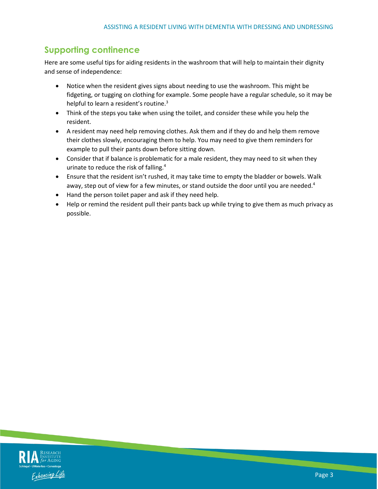## **Supporting continence**

Here are some useful tips for aiding residents in the washroom that will help to maintain their dignity and sense of independence:

- Notice when the resident gives signs about needing to use the washroom. This might be fidgeting, or tugging on clothing for example. Some people have a regular schedule, so it may be helpful to learn a resident's routine.<sup>3</sup>
- Think of the steps you take when using the toilet, and consider these while you help the resident.
- A resident may need help removing clothes. Ask them and if they do and help them remove their clothes slowly, encouraging them to help. You may need to give them reminders for example to pull their pants down before sitting down.
- Consider that if balance is problematic for a male resident, they may need to sit when they urinate to reduce the risk of falling.<sup>4</sup>
- Ensure that the resident isn't rushed, it may take time to empty the bladder or bowels. Walk away, step out of view for a few minutes, or stand outside the door until you are needed. $4$
- Hand the person toilet paper and ask if they need help.
- Help or remind the resident pull their pants back up while trying to give them as much privacy as possible.